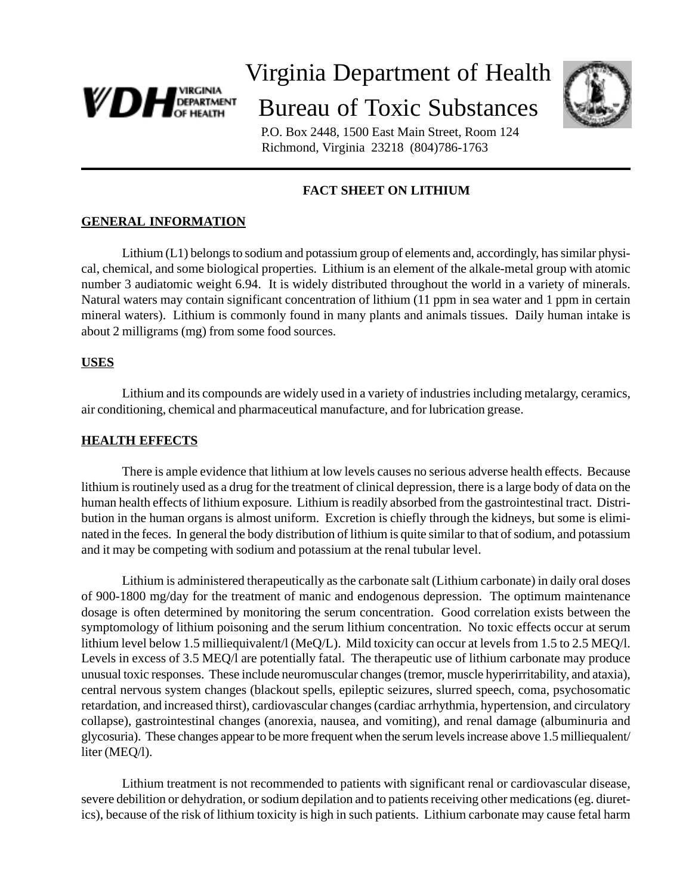

# Virginia Department of Health Bureau of Toxic Substances



 P.O. Box 2448, 1500 East Main Street, Room 124 Richmond, Virginia 23218 (804)786-1763

# **FACT SHEET ON LITHIUM**

# **GENERAL INFORMATION**

Lithium (L1) belongs to sodium and potassium group of elements and, accordingly, has similar physical, chemical, and some biological properties. Lithium is an element of the alkale-metal group with atomic number 3 audiatomic weight 6.94. It is widely distributed throughout the world in a variety of minerals. Natural waters may contain significant concentration of lithium (11 ppm in sea water and 1 ppm in certain mineral waters). Lithium is commonly found in many plants and animals tissues. Daily human intake is about 2 milligrams (mg) from some food sources.

#### **USES**

Lithium and its compounds are widely used in a variety of industries including metalargy, ceramics, air conditioning, chemical and pharmaceutical manufacture, and for lubrication grease.

#### **HEALTH EFFECTS**

There is ample evidence that lithium at low levels causes no serious adverse health effects. Because lithium is routinely used as a drug for the treatment of clinical depression, there is a large body of data on the human health effects of lithium exposure. Lithium is readily absorbed from the gastrointestinal tract. Distribution in the human organs is almost uniform. Excretion is chiefly through the kidneys, but some is eliminated in the feces. In general the body distribution of lithium is quite similar to that of sodium, and potassium and it may be competing with sodium and potassium at the renal tubular level.

Lithium is administered therapeutically as the carbonate salt (Lithium carbonate) in daily oral doses of 900-1800 mg/day for the treatment of manic and endogenous depression. The optimum maintenance dosage is often determined by monitoring the serum concentration. Good correlation exists between the symptomology of lithium poisoning and the serum lithium concentration. No toxic effects occur at serum lithium level below 1.5 milliequivalent/l (MeQ/L). Mild toxicity can occur at levels from 1.5 to 2.5 MEQ/l. Levels in excess of 3.5 MEQ/l are potentially fatal. The therapeutic use of lithium carbonate may produce unusual toxic responses. These include neuromuscular changes (tremor, muscle hyperirritability, and ataxia), central nervous system changes (blackout spells, epileptic seizures, slurred speech, coma, psychosomatic retardation, and increased thirst), cardiovascular changes (cardiac arrhythmia, hypertension, and circulatory collapse), gastrointestinal changes (anorexia, nausea, and vomiting), and renal damage (albuminuria and glycosuria). These changes appear to be more frequent when the serum levels increase above 1.5 milliequalent/ liter (MEQ/l).

Lithium treatment is not recommended to patients with significant renal or cardiovascular disease, severe debilition or dehydration, or sodium depilation and to patients receiving other medications (eg. diuretics), because of the risk of lithium toxicity is high in such patients. Lithium carbonate may cause fetal harm